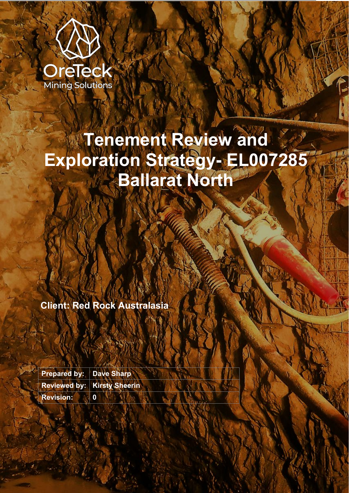

# **Tenement Review and Exploration Strategy- EL007285 Ballarat North**

**Client: Red Rock Australasia**

**Prepared by: Dave Sharp Reviewed by: Kirsty Sheerin Revision: 0**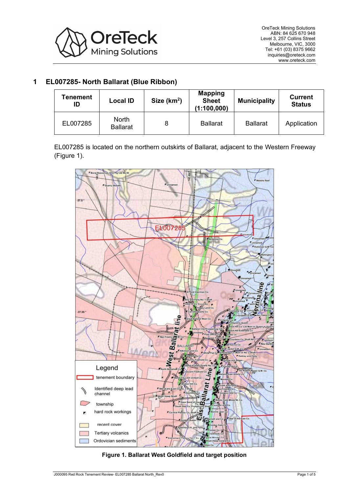

# **1 EL007285- North Ballarat (Blue Ribbon)**

| <b>Tenement</b><br>ID | <b>Local ID</b>                 | Size $(km2)$ | <b>Mapping</b><br><b>Sheet</b><br>(1:100,000) | <b>Municipality</b> | <b>Current</b><br><b>Status</b> |
|-----------------------|---------------------------------|--------------|-----------------------------------------------|---------------------|---------------------------------|
| EL007285              | <b>North</b><br><b>Ballarat</b> |              | <b>Ballarat</b>                               | <b>Ballarat</b>     | Application                     |

EL007285 is located on the northern outskirts of Ballarat, adjacent to the Western Freeway (Figure 1).



**Figure 1. Ballarat West Goldfield and target position**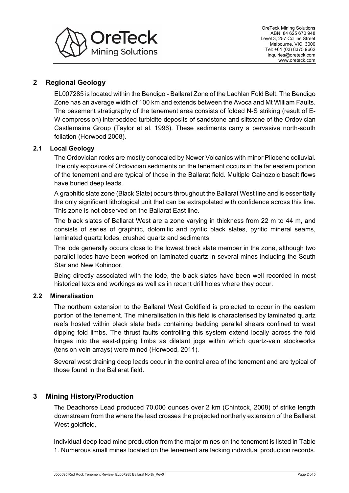

# **2 Regional Geology**

EL007285 is located within the Bendigo - Ballarat Zone of the Lachlan Fold Belt. The Bendigo Zone has an average width of 100 km and extends between the Avoca and Mt William Faults. The basement stratigraphy of the tenement area consists of folded N-S striking (result of E-W compression) interbedded turbidite deposits of sandstone and siltstone of the Ordovician Castlemaine Group (Taylor et al. 1996). These sediments carry a pervasive north-south foliation (Horwood 2008).

### **2.1 Local Geology**

The Ordovician rocks are mostly concealed by Newer Volcanics with minor Pliocene colluvial. The only exposure of Ordovician sediments on the tenement occurs in the far eastern portion of the tenement and are typical of those in the Ballarat field. Multiple Cainozoic basalt flows have buried deep leads.

A graphitic slate zone (Black Slate) occurs throughout the Ballarat West line and is essentially the only significant lithological unit that can be extrapolated with confidence across this line. This zone is not observed on the Ballarat East line.

The black slates of Ballarat West are a zone varying in thickness from 22 m to 44 m, and consists of series of graphitic, dolomitic and pyritic black slates, pyritic mineral seams, laminated quartz lodes, crushed quartz and sediments.

The lode generally occurs close to the lowest black slate member in the zone, although two parallel lodes have been worked on laminated quartz in several mines including the South Star and New Kohinoor.

Being directly associated with the lode, the black slates have been well recorded in most historical texts and workings as well as in recent drill holes where they occur.

#### **2.2 Mineralisation**

The northern extension to the Ballarat West Goldfield is projected to occur in the eastern portion of the tenement. The mineralisation in this field is characterised by laminated quartz reefs hosted within black slate beds containing bedding parallel shears confined to west dipping fold limbs. The thrust faults controlling this system extend locally across the fold hinges into the east-dipping limbs as dilatant jogs within which quartz-vein stockworks (tension vein arrays) were mined (Horwood, 2011).

Several west draining deep leads occur in the central area of the tenement and are typical of those found in the Ballarat field.

## **3 Mining History/Production**

The Deadhorse Lead produced 70,000 ounces over 2 km (Chintock, 2008) of strike length downstream from the where the lead crosses the projected northerly extension of the Ballarat West goldfield.

Individual deep lead mine production from the major mines on the tenement is listed in [Table](#page-3-0)  [1.](#page-3-0) Numerous small mines located on the tenement are lacking individual production records.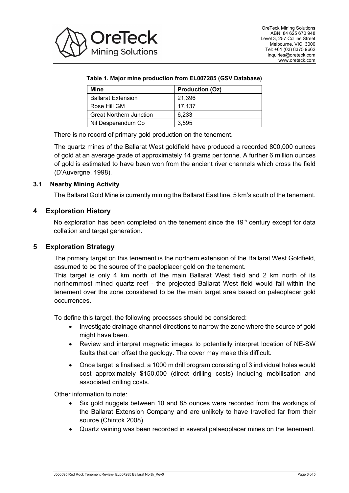<span id="page-3-0"></span>

#### **Table 1. Major mine production from EL007285 (GSV Database)**

| Mine                           | <b>Production (Oz)</b> |  |  |
|--------------------------------|------------------------|--|--|
| <b>Ballarat Extension</b>      | 21,396                 |  |  |
| Rose Hill GM                   | 17.137                 |  |  |
| <b>Great Northern Junction</b> | 6.233                  |  |  |
| Nil Desperandum Co             | 3.595                  |  |  |

There is no record of primary gold production on the tenement.

The quartz mines of the Ballarat West goldfield have produced a recorded 800,000 ounces of gold at an average grade of approximately 14 grams per tonne. A further 6 million ounces of gold is estimated to have been won from the ancient river channels which cross the field (D'Auvergne, 1998).

#### **3.1 Nearby Mining Activity**

The Ballarat Gold Mine is currently mining the Ballarat East line, 5 km's south of the tenement.

#### **4 Exploration History**

No exploration has been completed on the tenement since the  $19<sup>th</sup>$  century except for data collation and target generation.

#### **5 Exploration Strategy**

The primary target on this tenement is the northern extension of the Ballarat West Goldfield, assumed to be the source of the paeloplacer gold on the tenement.

This target is only 4 km north of the main Ballarat West field and 2 km north of its northernmost mined quartz reef - the projected Ballarat West field would fall within the tenement over the zone considered to be the main target area based on paleoplacer gold occurrences.

To define this target, the following processes should be considered:

- Investigate drainage channel directions to narrow the zone where the source of gold might have been.
- Review and interpret magnetic images to potentially interpret location of NE-SW faults that can offset the geology. The cover may make this difficult.
- Once target is finalised, a 1000 m drill program consisting of 3 individual holes would cost approximately \$150,000 (direct drilling costs) including mobilisation and associated drilling costs.

Other information to note:

- Six gold nuggets between 10 and 85 ounces were recorded from the workings of the Ballarat Extension Company and are unlikely to have travelled far from their source (Chintok 2008).
- Quartz veining was been recorded in several palaeoplacer mines on the tenement.